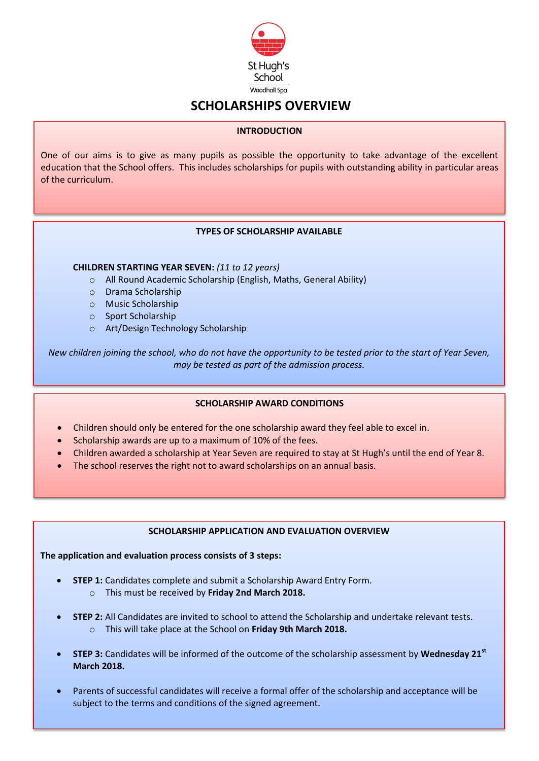

# **SCHOLARSHIPS OVERVIEW**

#### **INTRODUCTION**

One of our aims is to give as many pupils as possible the opportunity to take advantage of the excellent education that the School offers. This includes scholarships for pupils with outstanding ability in particular areas of the curriculum.

## **TYPES OF SCHOLARSHIP AVAILABLE**

#### **CHILDREN STARTING YEAR SEVEN:** *(11 to 12 years)*

- o All Round Academic Scholarship (English, Maths, General Ability)
- o Drama Scholarship
- o Music Scholarship
- o Sport Scholarship
- o Art/Design Technology Scholarship

*New children joining the school, who do not have the opportunity to be tested prior to the start of Year Seven, may be tested as part of the admission process.*

## **SCHOLARSHIP AWARD CONDITIONS**

- Children should only be entered for the one scholarship award they feel able to excel in.
- Scholarship awards are up to a maximum of 10% of the fees.
- Children awarded a scholarship at Year Seven are required to stay at St Hugh's until the end of Year 8.
- The school reserves the right not to award scholarships on an annual basis.

## **SCHOLARSHIP APPLICATION AND EVALUATION OVERVIEW**

**The application and evaluation process consists of 3 steps:**

- **STEP 1:** Candidates complete and submit a Scholarship Award Entry Form.
	- o This must be received by **Friday 2nd March 2018.**
- **STEP 2:** All Candidates are invited to school to attend the Scholarship and undertake relevant tests. o This will take place at the School on **Friday 9th March 2018.**
- **STEP 3:** Candidates will be informed of the outcome of the scholarship assessment by **Wednesday 21st March 2018.**
- Parents of successful candidates will receive a formal offer of the scholarship and acceptance will be subject to the terms and conditions of the signed agreement.